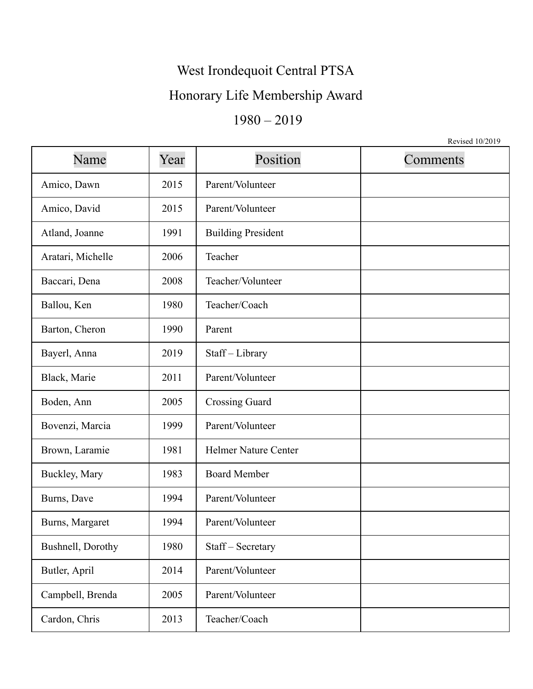## West Irondequoit Central PTSA

### Honorary Life Membership Award

## 1980 – 2019

Revised 10/2019

| Name              | Year | Position                    | Comments |
|-------------------|------|-----------------------------|----------|
| Amico, Dawn       | 2015 | Parent/Volunteer            |          |
| Amico, David      | 2015 | Parent/Volunteer            |          |
| Atland, Joanne    | 1991 | <b>Building President</b>   |          |
| Aratari, Michelle | 2006 | Teacher                     |          |
| Baccari, Dena     | 2008 | Teacher/Volunteer           |          |
| Ballou, Ken       | 1980 | Teacher/Coach               |          |
| Barton, Cheron    | 1990 | Parent                      |          |
| Bayerl, Anna      | 2019 | Staff-Library               |          |
| Black, Marie      | 2011 | Parent/Volunteer            |          |
| Boden, Ann        | 2005 | <b>Crossing Guard</b>       |          |
| Bovenzi, Marcia   | 1999 | Parent/Volunteer            |          |
| Brown, Laramie    | 1981 | <b>Helmer Nature Center</b> |          |
| Buckley, Mary     | 1983 | <b>Board Member</b>         |          |
| Burns, Dave       | 1994 | Parent/Volunteer            |          |
| Burns, Margaret   | 1994 | Parent/Volunteer            |          |
| Bushnell, Dorothy | 1980 | Staff - Secretary           |          |
| Butler, April     | 2014 | Parent/Volunteer            |          |
| Campbell, Brenda  | 2005 | Parent/Volunteer            |          |
| Cardon, Chris     | 2013 | Teacher/Coach               |          |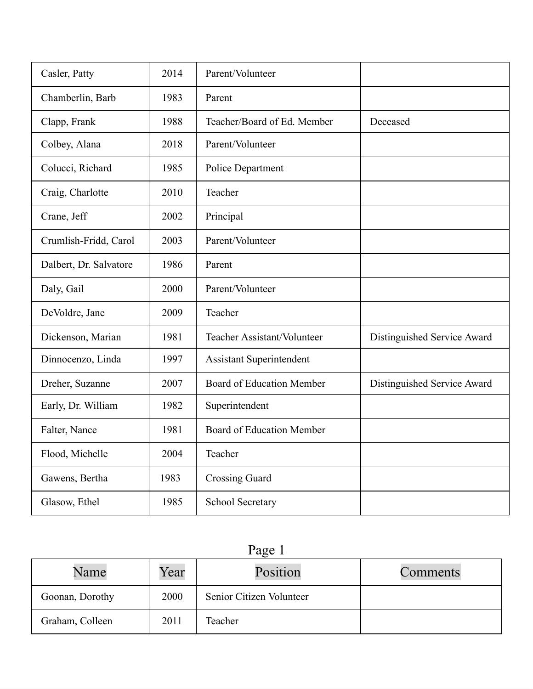| Casler, Patty          | 2014 | Parent/Volunteer                 |                             |
|------------------------|------|----------------------------------|-----------------------------|
| Chamberlin, Barb       | 1983 | Parent                           |                             |
| Clapp, Frank           | 1988 | Teacher/Board of Ed. Member      | Deceased                    |
| Colbey, Alana          | 2018 | Parent/Volunteer                 |                             |
| Colucci, Richard       | 1985 | Police Department                |                             |
| Craig, Charlotte       | 2010 | Teacher                          |                             |
| Crane, Jeff            | 2002 | Principal                        |                             |
| Crumlish-Fridd, Carol  | 2003 | Parent/Volunteer                 |                             |
| Dalbert, Dr. Salvatore | 1986 | Parent                           |                             |
| Daly, Gail             | 2000 | Parent/Volunteer                 |                             |
| DeVoldre, Jane         | 2009 | Teacher                          |                             |
| Dickenson, Marian      | 1981 | Teacher Assistant/Volunteer      | Distinguished Service Award |
| Dinnocenzo, Linda      | 1997 | <b>Assistant Superintendent</b>  |                             |
| Dreher, Suzanne        | 2007 | <b>Board of Education Member</b> | Distinguished Service Award |
| Early, Dr. William     | 1982 | Superintendent                   |                             |
| Falter, Nance          | 1981 | <b>Board of Education Member</b> |                             |
| Flood, Michelle        | 2004 | Teacher                          |                             |
| Gawens, Bertha         | 1983 | <b>Crossing Guard</b>            |                             |
| Glasow, Ethel          | 1985 | School Secretary                 |                             |

# Page 1

| Name            | Year | Position                 | Comments |
|-----------------|------|--------------------------|----------|
| Goonan, Dorothy | 2000 | Senior Citizen Volunteer |          |
| Graham, Colleen | 2011 | Teacher                  |          |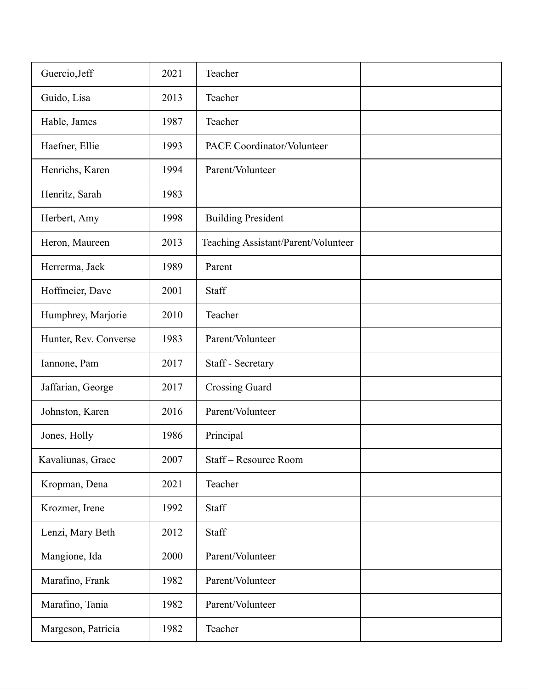| Guercio, Jeff         | 2021 | Teacher                             |  |
|-----------------------|------|-------------------------------------|--|
| Guido, Lisa           | 2013 | Teacher                             |  |
| Hable, James          | 1987 | Teacher                             |  |
| Haefner, Ellie        | 1993 | PACE Coordinator/Volunteer          |  |
| Henrichs, Karen       | 1994 | Parent/Volunteer                    |  |
| Henritz, Sarah        | 1983 |                                     |  |
| Herbert, Amy          | 1998 | <b>Building President</b>           |  |
| Heron, Maureen        | 2013 | Teaching Assistant/Parent/Volunteer |  |
| Herrerma, Jack        | 1989 | Parent                              |  |
| Hoffmeier, Dave       | 2001 | Staff                               |  |
| Humphrey, Marjorie    | 2010 | Teacher                             |  |
| Hunter, Rev. Converse | 1983 | Parent/Volunteer                    |  |
| Iannone, Pam          | 2017 | Staff - Secretary                   |  |
| Jaffarian, George     | 2017 | <b>Crossing Guard</b>               |  |
| Johnston, Karen       | 2016 | Parent/Volunteer                    |  |
| Jones, Holly          | 1986 | Principal                           |  |
| Kavaliunas, Grace     | 2007 | Staff-Resource Room                 |  |
| Kropman, Dena         | 2021 | Teacher                             |  |
| Krozmer, Irene        | 1992 | Staff                               |  |
| Lenzi, Mary Beth      | 2012 | Staff                               |  |
| Mangione, Ida         | 2000 | Parent/Volunteer                    |  |
| Marafino, Frank       | 1982 | Parent/Volunteer                    |  |
| Marafino, Tania       | 1982 | Parent/Volunteer                    |  |
| Margeson, Patricia    | 1982 | Teacher                             |  |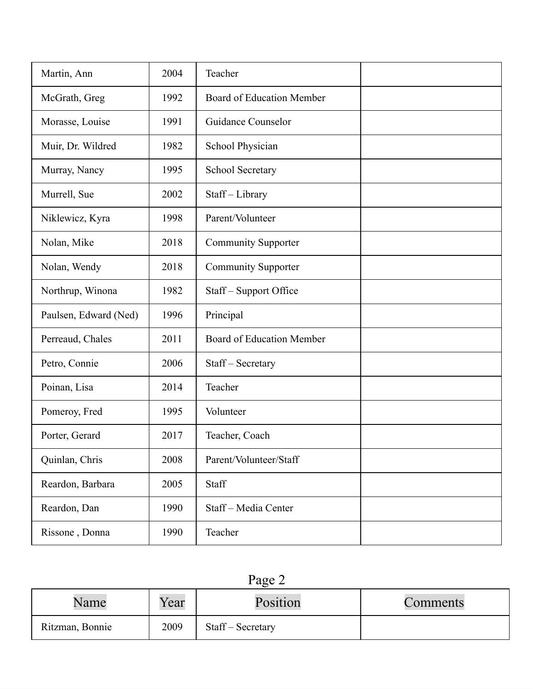| Martin, Ann           | 2004 | Teacher                    |  |
|-----------------------|------|----------------------------|--|
| McGrath, Greg         | 1992 | Board of Education Member  |  |
| Morasse, Louise       | 1991 | Guidance Counselor         |  |
| Muir, Dr. Wildred     | 1982 | School Physician           |  |
| Murray, Nancy         | 1995 | School Secretary           |  |
| Murrell, Sue          | 2002 | Staff-Library              |  |
| Niklewicz, Kyra       | 1998 | Parent/Volunteer           |  |
| Nolan, Mike           | 2018 | <b>Community Supporter</b> |  |
| Nolan, Wendy          | 2018 | <b>Community Supporter</b> |  |
| Northrup, Winona      | 1982 | Staff – Support Office     |  |
| Paulsen, Edward (Ned) | 1996 | Principal                  |  |
| Perreaud, Chales      | 2011 | Board of Education Member  |  |
| Petro, Connie         | 2006 | Staff – Secretary          |  |
| Poinan, Lisa          | 2014 | Teacher                    |  |
| Pomeroy, Fred         | 1995 | Volunteer                  |  |
| Porter, Gerard        | 2017 | Teacher, Coach             |  |
| Quinlan, Chris        | 2008 | Parent/Volunteer/Staff     |  |
| Reardon, Barbara      | 2005 | Staff                      |  |
| Reardon, Dan          | 1990 | Staff-Media Center         |  |
| Rissone, Donna        | 1990 | Teacher                    |  |

| i.<br>э<br>0<br>٠. |  |
|--------------------|--|
|--------------------|--|

| Name            | Year | Position          | Comments |
|-----------------|------|-------------------|----------|
| Ritzman, Bonnie | 2009 | Staff – Secretary |          |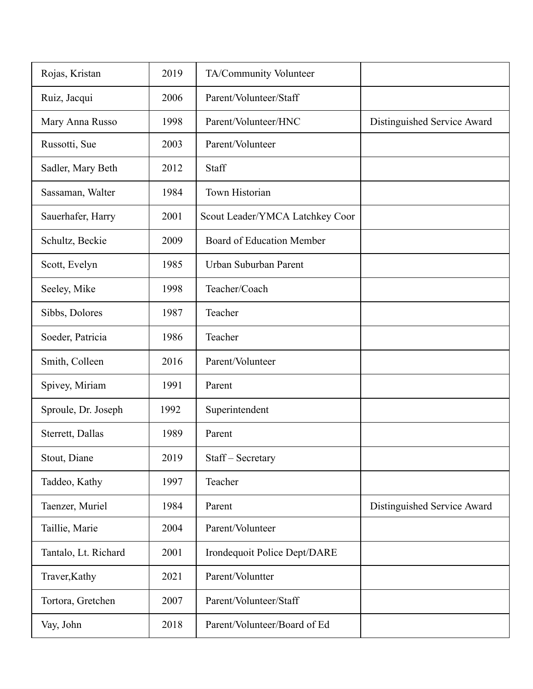| Rojas, Kristan       | 2019 | TA/Community Volunteer           |                             |
|----------------------|------|----------------------------------|-----------------------------|
| Ruiz, Jacqui         | 2006 | Parent/Volunteer/Staff           |                             |
| Mary Anna Russo      | 1998 | Parent/Volunteer/HNC             | Distinguished Service Award |
| Russotti, Sue        | 2003 | Parent/Volunteer                 |                             |
| Sadler, Mary Beth    | 2012 | Staff                            |                             |
| Sassaman, Walter     | 1984 | Town Historian                   |                             |
| Sauerhafer, Harry    | 2001 | Scout Leader/YMCA Latchkey Coor  |                             |
| Schultz, Beckie      | 2009 | <b>Board of Education Member</b> |                             |
| Scott, Evelyn        | 1985 | Urban Suburban Parent            |                             |
| Seeley, Mike         | 1998 | Teacher/Coach                    |                             |
| Sibbs, Dolores       | 1987 | Teacher                          |                             |
| Soeder, Patricia     | 1986 | Teacher                          |                             |
| Smith, Colleen       | 2016 | Parent/Volunteer                 |                             |
| Spivey, Miriam       | 1991 | Parent                           |                             |
| Sproule, Dr. Joseph  | 1992 | Superintendent                   |                             |
| Sterrett, Dallas     | 1989 | Parent                           |                             |
| Stout, Diane         | 2019 | Staff – Secretary                |                             |
| Taddeo, Kathy        | 1997 | Teacher                          |                             |
| Taenzer, Muriel      | 1984 | Parent                           | Distinguished Service Award |
| Taillie, Marie       | 2004 | Parent/Volunteer                 |                             |
| Tantalo, Lt. Richard | 2001 | Irondequoit Police Dept/DARE     |                             |
| Traver, Kathy        | 2021 | Parent/Voluntter                 |                             |
| Tortora, Gretchen    | 2007 | Parent/Volunteer/Staff           |                             |
| Vay, John            | 2018 | Parent/Volunteer/Board of Ed     |                             |